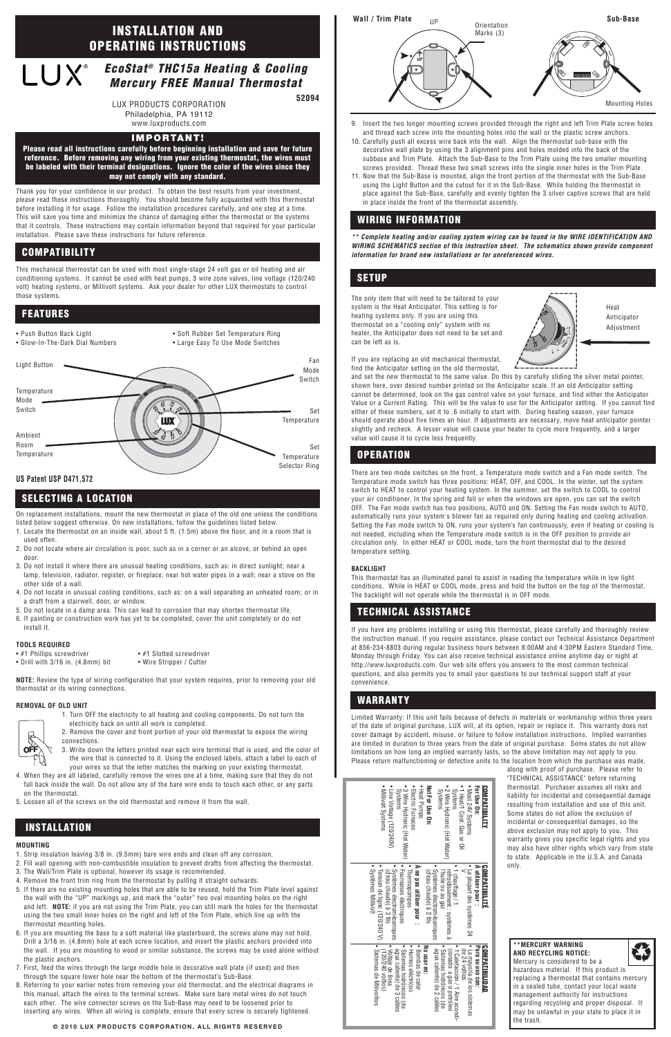

Thank you for your confidence in our product. To obtain the best results from your investment, please read these instructions thoroughly. You should become fully acquainted with this thermostat before installing it for usage. Follow the installation procedures carefully, and one step at a time. This will save you time and minimize the chance of damaging either the thermostat or the systems that it controls. These instructions may contain information beyond that required for your particular installation. Please save these instructions for future reference.

This mechanical thermostat can be used with most single-stage 24 volt gas or oil heating and air conditioning systems. It cannot be used with heat pumps, 3 wire zone valves, line voltage (120/240 volt) heating systems, or Millivolt systems. Ask your dealer for other LUX thermostats to control those systems.

On replacement installations, mount the new thermostat in place of the old one unless the conditions listed below suggest otherwise. On new installations, follow the guidelines listed below.

- 1. Locate the thermostat on an inside wall, about 5 ft. (1.5m) above the floor, and in a room that is used often.
- 2. Do not locate where air circulation is poor, such as in a corner or an alcove, or behind an open door.
- 3. Do not install it where there are unusual heating conditions, such as: in direct sunlight; near a lamp, television, radiator, register, or fireplace; near hot water pipes in a wall; near a stove on the other side of a wall.
- 4. Do not locate in unusual cooling conditions, such as: on a wall separating an unheated room; or in a draft from a stairwell, door, or window.
- 5. Do not locate in a damp area. This can lead to corrosion that may shorten thermostat life.
- 6. If painting or construction work has yet to be completed, cover the unit completely or do not install it.

#### **TOOLS REQUIRED**

• #1 Phillips screwdriver • #1 Slotted screwdriver

• Drill with 3/16 in. (4.8mm) bit • Wire Stripper / Cutter

**NOTE:** Review the type of wiring configuration that your system requires, prior to removing your old thermostat or its wiring connections.

#### **REMOVAL OF OLD UNIT**

- 1. Turn OFF the electricity to all heating and cooling components. Do not turn the electricity back on until all work is completed.
- 2. Remove the cover and front portion of your old thermostat to expose the wiring connections.
- 3. Write down the letters printed near each wire terminal that is used, and the color of the wire that is connected to it. Using the enclosed labels, attach a label to each of

- your wires so that the letter matches the marking on your existing thermostat.
- 4. When they are all labeled, carefully remove the wires one at a time, making sure that they do not fall back inside the wall. Do not allow any of the bare wire ends to touch each other, or any parts on the thermostat.
- 5. Loosen all of the screws on the old thermostat and remove it from the wall.

#### **MOUNTING**

- 1. Strip insulation leaving 3/8 in. (9.5mm) bare wire ends and clean off any corrosion.
- 2. Fill wall opening with non-combustible insulation to prevent drafts from affecting the thermostat.
- 3. The Wall/Trim Plate is optional, however its usage is recommended.
- 4. Remove the front trim ring from the thermostat by pulling it straight outwards.
- 5. If there are no existing mounting holes that are able to be reused, hold the Trim Plate level against the wall with the "UP" markings up, and mark the "outer" two oval mounting holes on the right and left. **NOTE:** if you are not using the Trim Plate, you can still mark the holes for the thermostat using the two small inner holes on the right and left of the Trim Plate, which line up with the thermostat mounting holes.
- 6. If you are mounting the base to a soft material like plasterboard, the screws alone may not hold. Drill a 3/16 in. (4.8mm) hole at each screw location, and insert the plastic anchors provided into the wall. If you are mounting to wood or similar substance, the screws may be used alone without the plastic anchors.
- 7. First, feed the wires through the large middle hole in decorative wall plate (if used) and then through the square lower hole near the bottom of the thermostat's Sub-Base.
- 8. Referring to your earlier notes from removing your old thermostat, and the electrical diagrams in this manual, attach the wires to the terminal screws. Make sure bare metal wires do not touch each other. The wire connector screws on the Sub-Base may need to be loosened prior to inserting any wires. When all wiring is complete, ensure that every screw is securely tightened.

Limited Warranty: If this unit fails because of defects in materials or workmanship within three years of the date of original purchase, LUX will, at its option, repair or replace it. This warranty does not cover damage by accident, misuse, or failure to follow installation instructions. Implied warranties are limited in duration to three years from the date of original purchase. Some states do not allow limitations on how long an implied warranty lasts, so the above limitation may not apply to you. Please return malfunctioning or defective units to the location from which the purchase was made

9. Insert the two longer mounting screws provided through the right and left Trim Plate screw holes and thread each screw into the mounting holes into the wall or the plastic screw anchors.

- 10. Carefully push all excess wire back into the wall. Align the thermostat sub-base with the decorative wall plate by using the 3 alignment pins and holes molded into the back of the subbase and Trim Plate. Attach the Sub-Base to the Trim Plate using the two smaller mounting screws provided. Thread these two small screws into the single inner holes in the Trim Plate.
- 11. Now that the Sub-Base is mounted, align the front portion of the thermostat with the Sub-Base using the Light Button and the cutout for it in the Sub-Base. While holding the thermostat in place against the Sub-Base, carefully and evenly tighten the 3 silver captive screws that are held in place inside the front of the thermostat assembly.

**\*\* Complete heating and/or cooling system wiring can be found in the WIRE IDENTIFICATION AND WIRING SCHEMATICS section of this instruction sheet. The schematics shown provide component information for brand new installations or for unreferenced wires.**

The only item that will need to be tailored to your system is the Heat Anticipator. This setting is for heating systems only. If you are using this thermostat on a "cooling only" system with no heater, the Anticipator does not need to be set and can be left as is.

If you are replacing an old mechanical thermostat, find the Anticipator setting on the old thermostat,

and set the new thermostat to the same value. Do this by carefully sliding the silver metal pointer, shown here, over desired number printed on the Anticipator scale. If an old Anticipator setting cannot be determined, look on the gas control valve on your furnace, and find either the Anticipator Value or a Current Rating. This will be the value to use for the Anticipator setting. If you cannot find either of these numbers, set it to .6 initially to start with. During heating season, your furnace should operate about five times an hour. If adjustments are necessary, move heat anticipator pointer slightly and recheck. A lesser value will cause your heater to cycle more frequently, and a larger value will cause it to cycle less frequently.

There are two mode switches on the front, a Temperature mode switch and a Fan mode switch. The Temperature mode switch has three positions: HEAT, OFF, and COOL. In the winter, set the system switch to HEAT to control your heating system. In the summer, set the switch to COOL to control your air conditioner. In the spring and fall or when the windows are open, you can set the switch OFF. The Fan mode switch has two positions, AUTO and ON. Setting the Fan mode switch to AUTO, automatically runs your system's blower fan as required only during heating and cooling activation. Setting the Fan mode switch to ON, runs your system's fan continuously, even if heating or cooling is not needed, including when the Temperature mode switch is in the OFF position to provide air circulation only. In either HEAT or COOL mode, turn the front thermostat dial to the desired temperature setting.

#### **BACKLIGHT**

This thermostat has an illuminated panel to assist in reading the temperature while in low light conditions. While in HEAT or COOL mode, press and hold the button on the top of the thermostat. The backlight will not operate while the thermostat is in OFF mode.

If you have any problems installing or using this thermostat, please carefully and thoroughly review the instruction manual. If you require assistance, please contact our Technical Assistance Department at 856-234-8803 during regular business hours between 8:00AM and 4:30PM Eastern Standard Time, Monday through Friday. You can also receive technical assistance online anytime day or night at http://www.luxproducts.com. Our web site offers you answers to the most common technical questions, and also permits you to email your questions to our technical support staff at your convenience.

> along with proof of purchase. Please refer to "TECHNICAL ASSISTANCE" before returning thermostat. Purchaser assumes all risks and liability for incidental and consequential damage resulting from installation and use of this unit. Some states do not allow the exclusion of incidental or consequential damages, so the above exclusion may not apply to you. This warranty gives you specific legal rights and you may also have other rights which vary from state to state. Applicable in the U.S.A. and Canada only.

## **COMPATIBILITY**

## **INSTALLATION**

## **SELECTING A LOCATION**

## **TECHNICAL ASSISTANCE**

## **WARRANTY**

## **OPERATION**

## **WIRING INFORMATION**

## **FEATURES**

### **SETUP**

#### **EcoStat® THC15a Heating & Cooling** LUX® **Mercury FREE Manual Thermostat**

# **INSTALLATION AND OPERATING INSTRUCTIONS**

#### **IMPORTANT!**

**Please read all instructions carefully before beginning installation and save for future reference. Before removing any wiring from your existing thermostat, the wires must be labeled with their terminal designations. Ignore the color of the wires since they may not comply with any standard.**

**52094**

- Push Button Back Light
- Glow-In-The-Dark Dial Numbers
- Soft Rubber Set Temperature Ring • Large Easy To Use Mode Switches







## **US Patent USP D471,572**



YI

LUX PRODUCTS CORPORATION

Philadelphia, PA 19112 www.luxproducts.com



hazardous material. If this product is replacing a thermostat that contains mercury in a sealed tube, contact your local waste management authority for instructions regarding recycling and proper disposal. It may be unlawful in your state to place it in the trash.